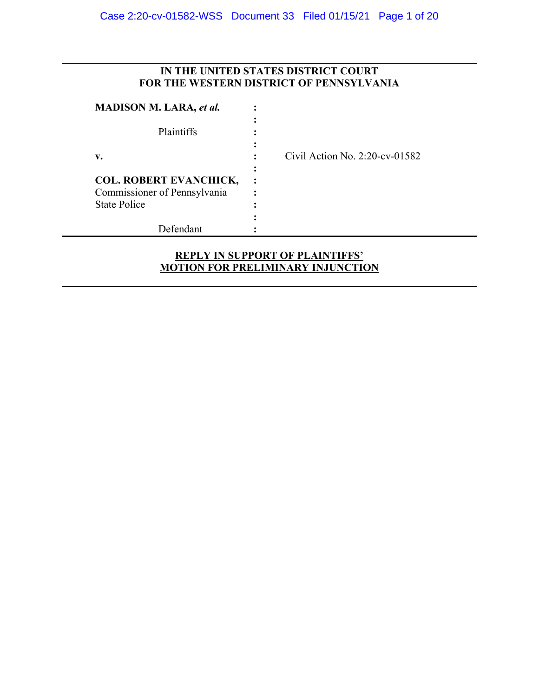## **IN THE UNITED STATES DISTRICT COURT FOR THE WESTERN DISTRICT OF PENNSYLVANIA**

| <b>MADISON M. LARA, et al.</b> |                                   |
|--------------------------------|-----------------------------------|
| Plaintiffs                     |                                   |
| v.                             | Civil Action No. $2:20$ -cv-01582 |
| <b>COL. ROBERT EVANCHICK,</b>  |                                   |
| Commissioner of Pennsylvania   |                                   |
| <b>State Police</b>            |                                   |
|                                |                                   |
| Defendant                      |                                   |

## **REPLY IN SUPPORT OF PLAINTIFFS' MOTION FOR PRELIMINARY INJUNCTION**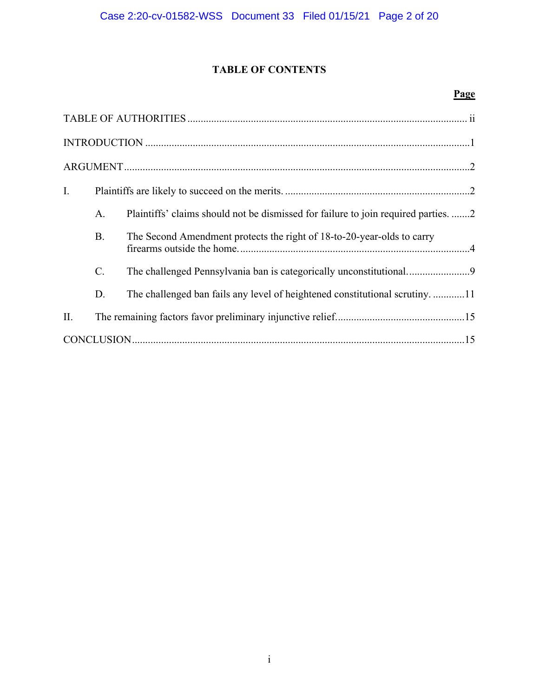# **TABLE OF CONTENTS**

## **Page**

| $\bf INTRODUCTION \,\,{} \dots \,\,{} \dots \,\,{} \dots \,\,{} \dots \,\,{} \dots \,\,{} \dots \,\,{} \dots \,\,{} \dots \,\,{} \dots \,\,{} \dots \,\,{} \dots \,\,{} \dots \,\,{} \dots \,\,{} \dots \,\,{} \dots \,\,{} \dots \,\,{} \dots \,\,{} \dots \,\,{} \dots \,\,{} \dots \,\,{} \dots \,\,{} \dots \,\,{} \dots \,\,{} \dots \,\,{} \dots \,\,{} \dots \,\,{} \dots \,\,{} \dots \,\,{} \dots \,\,{} \dots \,\,{} \dots \,\,{} \dots \,\,{} \dots \,\,{} \dots \,\,{} \dots \,\,{} \dots$ |           |                                                                                    |  |  |  |
|--------------------------------------------------------------------------------------------------------------------------------------------------------------------------------------------------------------------------------------------------------------------------------------------------------------------------------------------------------------------------------------------------------------------------------------------------------------------------------------------------------|-----------|------------------------------------------------------------------------------------|--|--|--|
|                                                                                                                                                                                                                                                                                                                                                                                                                                                                                                        |           |                                                                                    |  |  |  |
| Ι.                                                                                                                                                                                                                                                                                                                                                                                                                                                                                                     |           |                                                                                    |  |  |  |
|                                                                                                                                                                                                                                                                                                                                                                                                                                                                                                        | A.        | Plaintiffs' claims should not be dismissed for failure to join required parties. 2 |  |  |  |
|                                                                                                                                                                                                                                                                                                                                                                                                                                                                                                        | <b>B.</b> | The Second Amendment protects the right of 18-to-20-year-olds to carry             |  |  |  |
|                                                                                                                                                                                                                                                                                                                                                                                                                                                                                                        | C.        | The challenged Pennsylvania ban is categorically unconstitutional                  |  |  |  |
|                                                                                                                                                                                                                                                                                                                                                                                                                                                                                                        | D.        | The challenged ban fails any level of heightened constitutional scrutiny. 11       |  |  |  |
| II.                                                                                                                                                                                                                                                                                                                                                                                                                                                                                                    |           |                                                                                    |  |  |  |
|                                                                                                                                                                                                                                                                                                                                                                                                                                                                                                        |           |                                                                                    |  |  |  |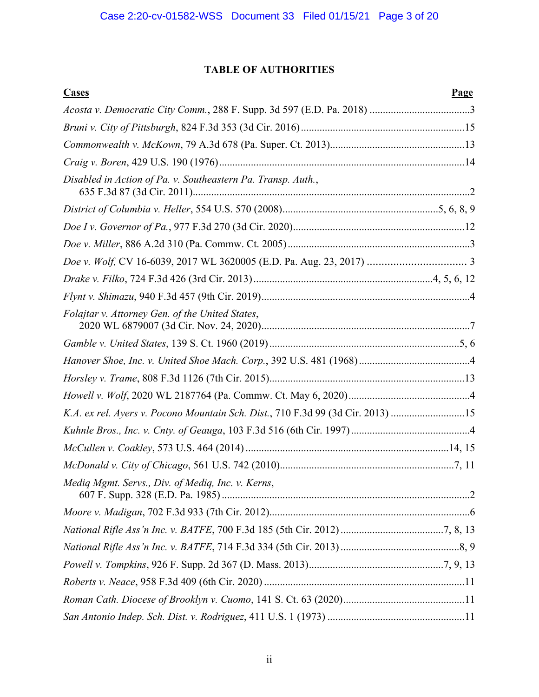# **TABLE OF AUTHORITIES**

| <b>Cases</b><br>Page                                                            |  |
|---------------------------------------------------------------------------------|--|
|                                                                                 |  |
|                                                                                 |  |
|                                                                                 |  |
|                                                                                 |  |
| Disabled in Action of Pa. v. Southeastern Pa. Transp. Auth.,                    |  |
|                                                                                 |  |
|                                                                                 |  |
|                                                                                 |  |
|                                                                                 |  |
|                                                                                 |  |
|                                                                                 |  |
| Folajtar v. Attorney Gen. of the United States,                                 |  |
|                                                                                 |  |
|                                                                                 |  |
|                                                                                 |  |
|                                                                                 |  |
| K.A. ex rel. Ayers v. Pocono Mountain Sch. Dist., 710 F.3d 99 (3d Cir. 2013) 15 |  |
|                                                                                 |  |
|                                                                                 |  |
|                                                                                 |  |
| Mediq Mgmt. Servs., Div. of Mediq, Inc. v. Kerns,                               |  |
|                                                                                 |  |
|                                                                                 |  |
|                                                                                 |  |
|                                                                                 |  |
|                                                                                 |  |
|                                                                                 |  |
|                                                                                 |  |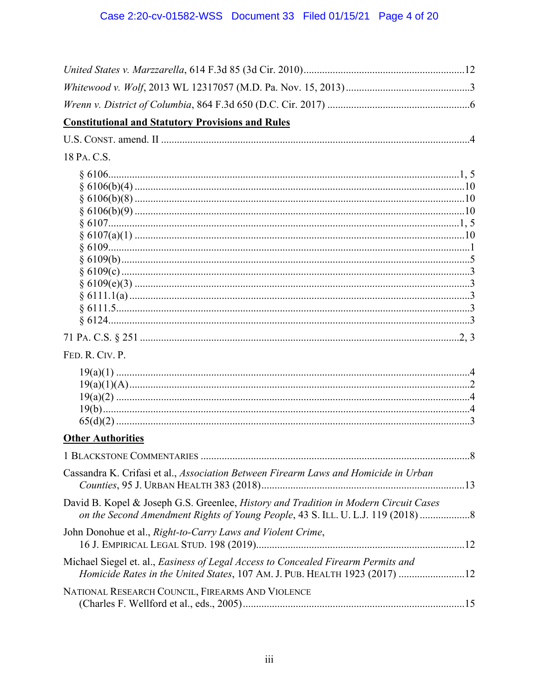| <b>Constitutional and Statutory Provisions and Rules</b>                                                                                                              |
|-----------------------------------------------------------------------------------------------------------------------------------------------------------------------|
|                                                                                                                                                                       |
| 18 PA. C.S.                                                                                                                                                           |
|                                                                                                                                                                       |
| FED. R. CIV. P.                                                                                                                                                       |
|                                                                                                                                                                       |
| <b>Other Authorities</b>                                                                                                                                              |
| . 8                                                                                                                                                                   |
| Cassandra K. Crifasi et al., Association Between Firearm Laws and Homicide in Urban                                                                                   |
| David B. Kopel & Joseph G.S. Greenlee, History and Tradition in Modern Circuit Cases<br>on the Second Amendment Rights of Young People, 43 S. ILL. U. L.J. 119 (2018) |
| John Donohue et al., Right-to-Carry Laws and Violent Crime,                                                                                                           |
| Michael Siegel et. al., Easiness of Legal Access to Concealed Firearm Permits and<br>Homicide Rates in the United States, 107 AM. J. PUB. HEALTH 1923 (2017) 12       |
| NATIONAL RESEARCH COUNCIL, FIREARMS AND VIOLENCE                                                                                                                      |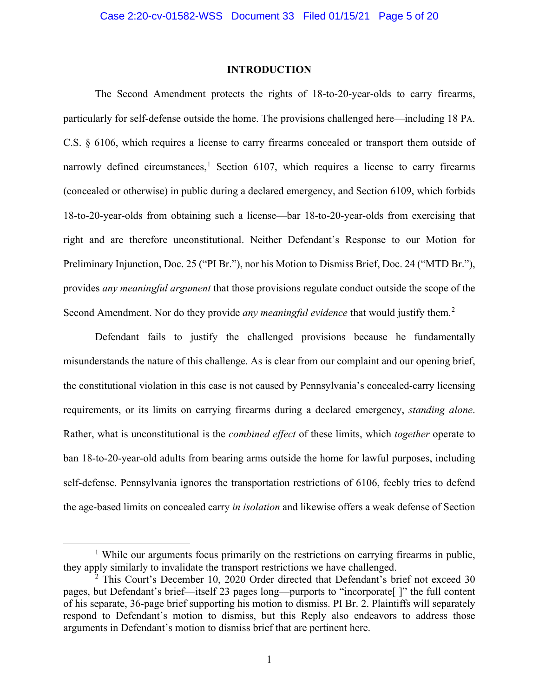#### **INTRODUCTION**

The Second Amendment protects the rights of 18-to-20-year-olds to carry firearms, particularly for self-defense outside the home. The provisions challenged here—including 18 PA. C.S. § 6106, which requires a license to carry firearms concealed or transport them outside of narrowly defined circumstances,<sup>1</sup> Section 6107, which requires a license to carry firearms (concealed or otherwise) in public during a declared emergency, and Section 6109, which forbids 18-to-20-year-olds from obtaining such a license—bar 18-to-20-year-olds from exercising that right and are therefore unconstitutional. Neither Defendant's Response to our Motion for Preliminary Injunction, Doc. 25 ("PI Br."), nor his Motion to Dismiss Brief, Doc. 24 ("MTD Br."), provides *any meaningful argument* that those provisions regulate conduct outside the scope of the Second Amendment. Nor do they provide *any meaningful evidence* that would justify them. 2

Defendant fails to justify the challenged provisions because he fundamentally misunderstands the nature of this challenge. As is clear from our complaint and our opening brief, the constitutional violation in this case is not caused by Pennsylvania's concealed-carry licensing requirements, or its limits on carrying firearms during a declared emergency, *standing alone*. Rather, what is unconstitutional is the *combined effect* of these limits, which *together* operate to ban 18-to-20-year-old adults from bearing arms outside the home for lawful purposes, including self-defense. Pennsylvania ignores the transportation restrictions of 6106, feebly tries to defend the age-based limits on concealed carry *in isolation* and likewise offers a weak defense of Section

<sup>&</sup>lt;sup>1</sup> While our arguments focus primarily on the restrictions on carrying firearms in public, they apply similarly to invalidate the transport restrictions we have challenged.

 $2$  This Court's December 10, 2020 Order directed that Defendant's brief not exceed 30 pages, but Defendant's brief—itself 23 pages long—purports to "incorporate[ ]" the full content of his separate, 36-page brief supporting his motion to dismiss. PI Br. 2. Plaintiffs will separately respond to Defendant's motion to dismiss, but this Reply also endeavors to address those arguments in Defendant's motion to dismiss brief that are pertinent here.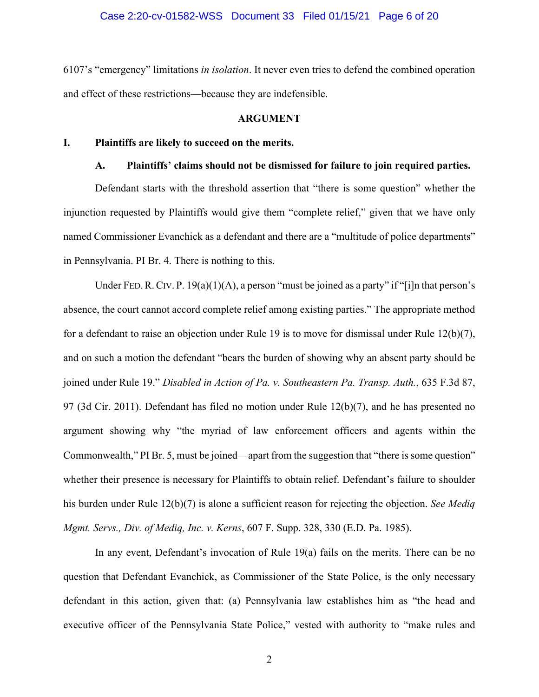#### Case 2:20-cv-01582-WSS Document 33 Filed 01/15/21 Page 6 of 20

6107's "emergency" limitations *in isolation*. It never even tries to defend the combined operation and effect of these restrictions—because they are indefensible.

#### **ARGUMENT**

#### **I. Plaintiffs are likely to succeed on the merits.**

## **A. Plaintiffs' claims should not be dismissed for failure to join required parties.**

Defendant starts with the threshold assertion that "there is some question" whether the injunction requested by Plaintiffs would give them "complete relief," given that we have only named Commissioner Evanchick as a defendant and there are a "multitude of police departments" in Pennsylvania. PI Br. 4. There is nothing to this.

Under FED. R. CIV. P. 19(a)(1)(A), a person "must be joined as a party" if "[i]n that person's absence, the court cannot accord complete relief among existing parties." The appropriate method for a defendant to raise an objection under Rule 19 is to move for dismissal under Rule 12(b)(7), and on such a motion the defendant "bears the burden of showing why an absent party should be joined under Rule 19." *Disabled in Action of Pa. v. Southeastern Pa. Transp. Auth.*, 635 F.3d 87, 97 (3d Cir. 2011). Defendant has filed no motion under Rule 12(b)(7), and he has presented no argument showing why "the myriad of law enforcement officers and agents within the Commonwealth," PI Br. 5, must be joined—apart from the suggestion that "there is some question" whether their presence is necessary for Plaintiffs to obtain relief. Defendant's failure to shoulder his burden under Rule 12(b)(7) is alone a sufficient reason for rejecting the objection. *See Mediq Mgmt. Servs., Div. of Mediq, Inc. v. Kerns*, 607 F. Supp. 328, 330 (E.D. Pa. 1985).

In any event, Defendant's invocation of Rule 19(a) fails on the merits. There can be no question that Defendant Evanchick, as Commissioner of the State Police, is the only necessary defendant in this action, given that: (a) Pennsylvania law establishes him as "the head and executive officer of the Pennsylvania State Police," vested with authority to "make rules and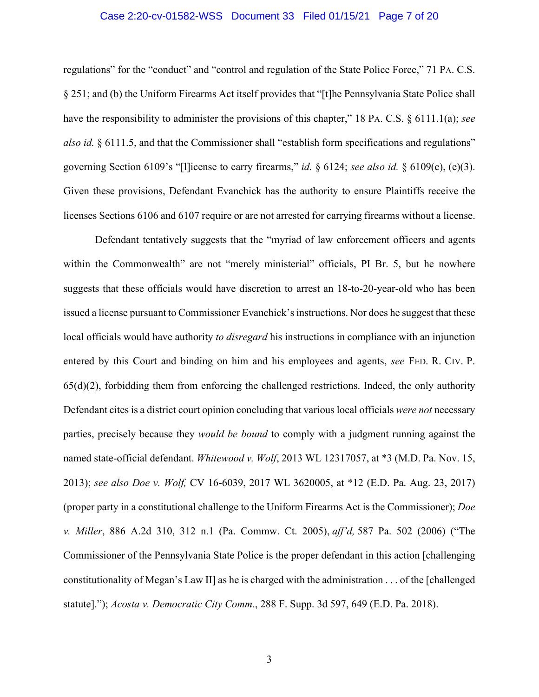#### Case 2:20-cv-01582-WSS Document 33 Filed 01/15/21 Page 7 of 20

regulations" for the "conduct" and "control and regulation of the State Police Force," 71 PA. C.S. § 251; and (b) the Uniform Firearms Act itself provides that "[t]he Pennsylvania State Police shall have the responsibility to administer the provisions of this chapter," 18 PA. C.S. § 6111.1(a); *see also id.* § 6111.5, and that the Commissioner shall "establish form specifications and regulations" governing Section 6109's "[l]icense to carry firearms," *id.* § 6124; *see also id.* § 6109(c), (e)(3). Given these provisions, Defendant Evanchick has the authority to ensure Plaintiffs receive the licenses Sections 6106 and 6107 require or are not arrested for carrying firearms without a license.

Defendant tentatively suggests that the "myriad of law enforcement officers and agents within the Commonwealth" are not "merely ministerial" officials, PI Br. 5, but he nowhere suggests that these officials would have discretion to arrest an 18-to-20-year-old who has been issued a license pursuant to Commissioner Evanchick's instructions. Nor does he suggest that these local officials would have authority *to disregard* his instructions in compliance with an injunction entered by this Court and binding on him and his employees and agents, *see* FED. R. CIV. P.  $65(d)(2)$ , forbidding them from enforcing the challenged restrictions. Indeed, the only authority Defendant cites is a district court opinion concluding that various local officials *were not* necessary parties, precisely because they *would be bound* to comply with a judgment running against the named state-official defendant. *Whitewood v. Wolf*, 2013 WL 12317057, at \*3 (M.D. Pa. Nov. 15, 2013); *see also Doe v. Wolf,* CV 16-6039, 2017 WL 3620005, at \*12 (E.D. Pa. Aug. 23, 2017) (proper party in a constitutional challenge to the Uniform Firearms Act is the Commissioner); *Doe v. Miller*, 886 A.2d 310, 312 n.1 (Pa. Commw. Ct. 2005), *aff'd,* 587 Pa. 502 (2006) ("The Commissioner of the Pennsylvania State Police is the proper defendant in this action [challenging constitutionality of Megan's Law II] as he is charged with the administration . . . of the [challenged statute]."); *Acosta v. Democratic City Comm.*, 288 F. Supp. 3d 597, 649 (E.D. Pa. 2018).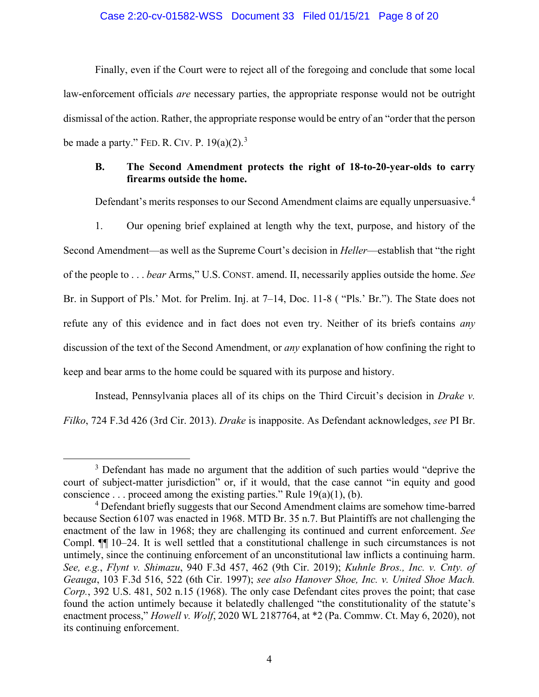#### Case 2:20-cv-01582-WSS Document 33 Filed 01/15/21 Page 8 of 20

Finally, even if the Court were to reject all of the foregoing and conclude that some local law-enforcement officials *are* necessary parties, the appropriate response would not be outright dismissal of the action. Rather, the appropriate response would be entry of an "order that the person be made a party." FED. R. CIV. P.  $19(a)(2)$ .<sup>3</sup>

## **B. The Second Amendment protects the right of 18-to-20-year-olds to carry firearms outside the home.**

Defendant's merits responses to our Second Amendment claims are equally unpersuasive.<sup>4</sup>

1. Our opening brief explained at length why the text, purpose, and history of the Second Amendment—as well as the Supreme Court's decision in *Heller*—establish that "the right of the people to . . . *bear* Arms," U.S. CONST. amend. II, necessarily applies outside the home. *See*  Br. in Support of Pls.' Mot. for Prelim. Inj. at 7–14, Doc. 11-8 ( "Pls.' Br."). The State does not refute any of this evidence and in fact does not even try. Neither of its briefs contains *any*  discussion of the text of the Second Amendment, or *any* explanation of how confining the right to keep and bear arms to the home could be squared with its purpose and history.

Instead, Pennsylvania places all of its chips on the Third Circuit's decision in *Drake v. Filko*, 724 F.3d 426 (3rd Cir. 2013). *Drake* is inapposite. As Defendant acknowledges, *see* PI Br.

<sup>&</sup>lt;sup>3</sup> Defendant has made no argument that the addition of such parties would "deprive the court of subject-matter jurisdiction" or, if it would, that the case cannot "in equity and good conscience . . . proceed among the existing parties." Rule  $19(a)(1)$ , (b).

<sup>&</sup>lt;sup>4</sup> Defendant briefly suggests that our Second Amendment claims are somehow time-barred because Section 6107 was enacted in 1968. MTD Br. 35 n.7. But Plaintiffs are not challenging the enactment of the law in 1968; they are challenging its continued and current enforcement. *See*  Compl. ¶¶ 10–24. It is well settled that a constitutional challenge in such circumstances is not untimely, since the continuing enforcement of an unconstitutional law inflicts a continuing harm. *See, e.g.*, *Flynt v. Shimazu*, 940 F.3d 457, 462 (9th Cir. 2019); *Kuhnle Bros., Inc. v. Cnty. of Geauga*, 103 F.3d 516, 522 (6th Cir. 1997); *see also Hanover Shoe, Inc. v. United Shoe Mach. Corp.*, 392 U.S. 481, 502 n.15 (1968). The only case Defendant cites proves the point; that case found the action untimely because it belatedly challenged "the constitutionality of the statute's enactment process," *Howell v. Wolf*, 2020 WL 2187764, at \*2 (Pa. Commw. Ct. May 6, 2020), not its continuing enforcement.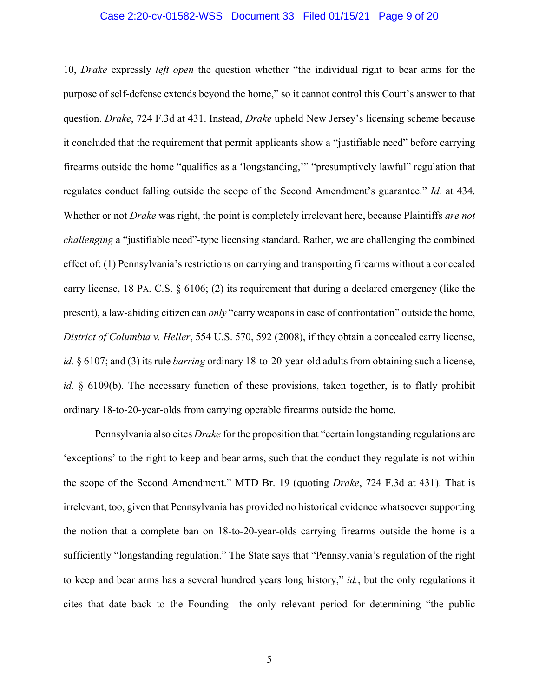### Case 2:20-cv-01582-WSS Document 33 Filed 01/15/21 Page 9 of 20

10, *Drake* expressly *left open* the question whether "the individual right to bear arms for the purpose of self-defense extends beyond the home," so it cannot control this Court's answer to that question. *Drake*, 724 F.3d at 431. Instead, *Drake* upheld New Jersey's licensing scheme because it concluded that the requirement that permit applicants show a "justifiable need" before carrying firearms outside the home "qualifies as a 'longstanding,'" "presumptively lawful" regulation that regulates conduct falling outside the scope of the Second Amendment's guarantee." *Id.* at 434. Whether or not *Drake* was right, the point is completely irrelevant here, because Plaintiffs *are not challenging* a "justifiable need"-type licensing standard. Rather, we are challenging the combined effect of: (1) Pennsylvania's restrictions on carrying and transporting firearms without a concealed carry license, 18 PA. C.S. § 6106; (2) its requirement that during a declared emergency (like the present), a law-abiding citizen can *only* "carry weapons in case of confrontation" outside the home, *District of Columbia v. Heller*, 554 U.S. 570, 592 (2008), if they obtain a concealed carry license, *id.* § 6107; and (3) its rule *barring* ordinary 18-to-20-year-old adults from obtaining such a license, *id.* § 6109(b). The necessary function of these provisions, taken together, is to flatly prohibit ordinary 18-to-20-year-olds from carrying operable firearms outside the home.

Pennsylvania also cites *Drake* for the proposition that "certain longstanding regulations are 'exceptions' to the right to keep and bear arms, such that the conduct they regulate is not within the scope of the Second Amendment." MTD Br. 19 (quoting *Drake*, 724 F.3d at 431). That is irrelevant, too, given that Pennsylvania has provided no historical evidence whatsoever supporting the notion that a complete ban on 18-to-20-year-olds carrying firearms outside the home is a sufficiently "longstanding regulation." The State says that "Pennsylvania's regulation of the right to keep and bear arms has a several hundred years long history," *id.*, but the only regulations it cites that date back to the Founding—the only relevant period for determining "the public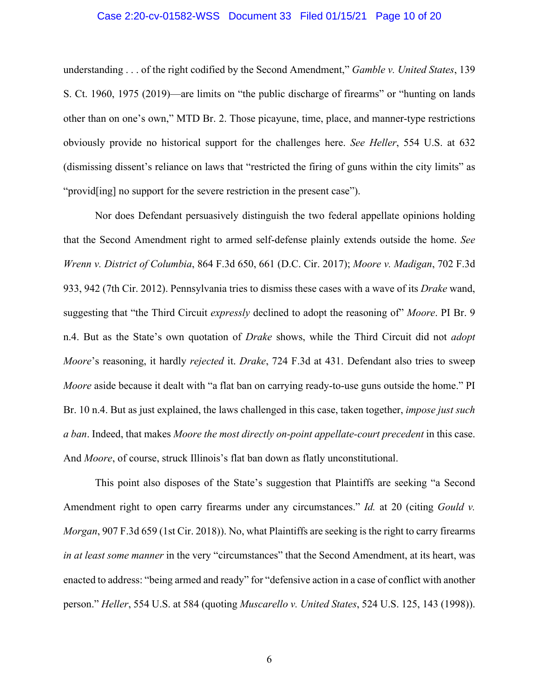## Case 2:20-cv-01582-WSS Document 33 Filed 01/15/21 Page 10 of 20

understanding . . . of the right codified by the Second Amendment," *Gamble v. United States*, 139 S. Ct. 1960, 1975 (2019)—are limits on "the public discharge of firearms" or "hunting on lands other than on one's own," MTD Br. 2. Those picayune, time, place, and manner-type restrictions obviously provide no historical support for the challenges here. *See Heller*, 554 U.S. at 632 (dismissing dissent's reliance on laws that "restricted the firing of guns within the city limits" as "provid[ing] no support for the severe restriction in the present case").

Nor does Defendant persuasively distinguish the two federal appellate opinions holding that the Second Amendment right to armed self-defense plainly extends outside the home. *See Wrenn v. District of Columbia*, 864 F.3d 650, 661 (D.C. Cir. 2017); *Moore v. Madigan*, 702 F.3d 933, 942 (7th Cir. 2012). Pennsylvania tries to dismiss these cases with a wave of its *Drake* wand, suggesting that "the Third Circuit *expressly* declined to adopt the reasoning of" *Moore*. PI Br. 9 n.4. But as the State's own quotation of *Drake* shows, while the Third Circuit did not *adopt Moore*'s reasoning, it hardly *rejected* it. *Drake*, 724 F.3d at 431. Defendant also tries to sweep *Moore* aside because it dealt with "a flat ban on carrying ready-to-use guns outside the home." PI Br. 10 n.4. But as just explained, the laws challenged in this case, taken together, *impose just such a ban*. Indeed, that makes *Moore the most directly on-point appellate-court precedent* in this case. And *Moore*, of course, struck Illinois's flat ban down as flatly unconstitutional.

This point also disposes of the State's suggestion that Plaintiffs are seeking "a Second Amendment right to open carry firearms under any circumstances." *Id.* at 20 (citing *Gould v. Morgan*, 907 F.3d 659 (1st Cir. 2018)). No, what Plaintiffs are seeking is the right to carry firearms *in at least some manner* in the very "circumstances" that the Second Amendment, at its heart, was enacted to address: "being armed and ready" for "defensive action in a case of conflict with another person." *Heller*, 554 U.S. at 584 (quoting *Muscarello v. United States*, 524 U.S. 125, 143 (1998)).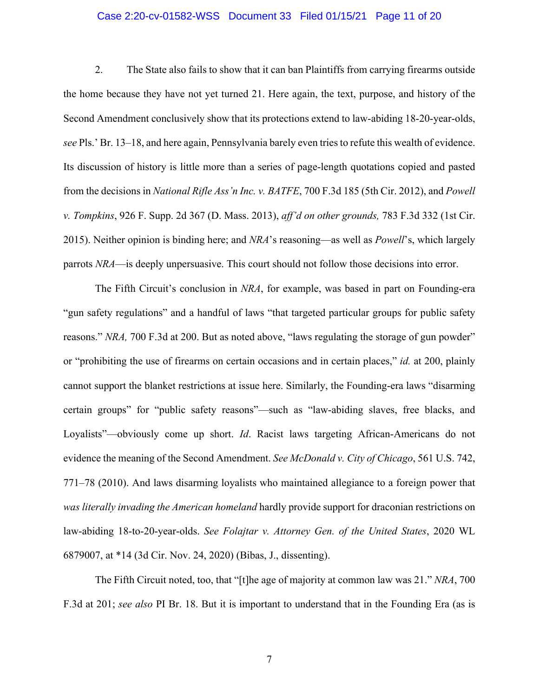#### Case 2:20-cv-01582-WSS Document 33 Filed 01/15/21 Page 11 of 20

2. The State also fails to show that it can ban Plaintiffs from carrying firearms outside the home because they have not yet turned 21. Here again, the text, purpose, and history of the Second Amendment conclusively show that its protections extend to law-abiding 18-20-year-olds, *see* Pls.' Br. 13–18, and here again, Pennsylvania barely even tries to refute this wealth of evidence. Its discussion of history is little more than a series of page-length quotations copied and pasted from the decisions in *National Rifle Ass'n Inc. v. BATFE*, 700 F.3d 185 (5th Cir. 2012), and *Powell v. Tompkins*, 926 F. Supp. 2d 367 (D. Mass. 2013), *aff'd on other grounds,* 783 F.3d 332 (1st Cir. 2015). Neither opinion is binding here; and *NRA*'s reasoning—as well as *Powell*'s, which largely parrots *NRA*—is deeply unpersuasive. This court should not follow those decisions into error.

The Fifth Circuit's conclusion in *NRA*, for example, was based in part on Founding-era "gun safety regulations" and a handful of laws "that targeted particular groups for public safety reasons." *NRA,* 700 F.3d at 200. But as noted above, "laws regulating the storage of gun powder" or "prohibiting the use of firearms on certain occasions and in certain places," *id.* at 200, plainly cannot support the blanket restrictions at issue here. Similarly, the Founding-era laws "disarming certain groups" for "public safety reasons"—such as "law-abiding slaves, free blacks, and Loyalists"—obviously come up short. *Id*. Racist laws targeting African-Americans do not evidence the meaning of the Second Amendment. *See McDonald v. City of Chicago*, 561 U.S. 742, 771–78 (2010). And laws disarming loyalists who maintained allegiance to a foreign power that *was literally invading the American homeland* hardly provide support for draconian restrictions on law-abiding 18-to-20-year-olds. *See Folajtar v. Attorney Gen. of the United States*, 2020 WL 6879007, at \*14 (3d Cir. Nov. 24, 2020) (Bibas, J., dissenting).

The Fifth Circuit noted, too, that "[t]he age of majority at common law was 21." *NRA*, 700 F.3d at 201; *see also* PI Br. 18. But it is important to understand that in the Founding Era (as is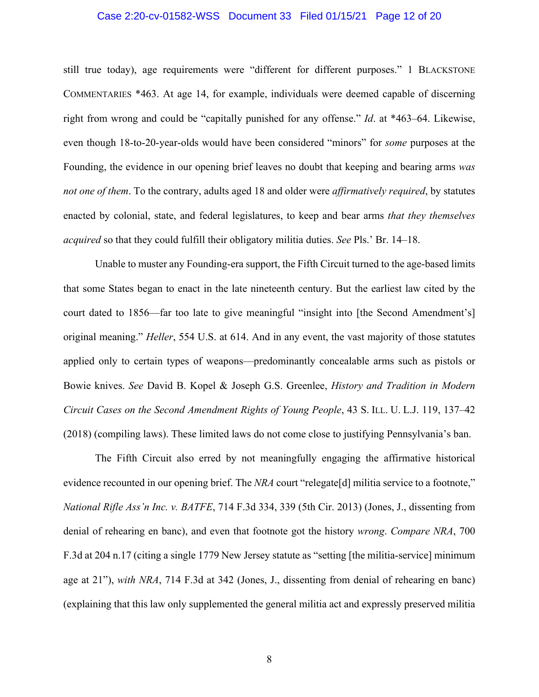## Case 2:20-cv-01582-WSS Document 33 Filed 01/15/21 Page 12 of 20

still true today), age requirements were "different for different purposes." 1 BLACKSTONE COMMENTARIES \*463. At age 14, for example, individuals were deemed capable of discerning right from wrong and could be "capitally punished for any offense." *Id*. at \*463–64. Likewise, even though 18-to-20-year-olds would have been considered "minors" for *some* purposes at the Founding, the evidence in our opening brief leaves no doubt that keeping and bearing arms *was not one of them*. To the contrary, adults aged 18 and older were *affirmatively required*, by statutes enacted by colonial, state, and federal legislatures, to keep and bear arms *that they themselves acquired* so that they could fulfill their obligatory militia duties. *See* Pls.' Br. 14–18.

Unable to muster any Founding-era support, the Fifth Circuit turned to the age-based limits that some States began to enact in the late nineteenth century. But the earliest law cited by the court dated to 1856—far too late to give meaningful "insight into [the Second Amendment's] original meaning." *Heller*, 554 U.S. at 614. And in any event, the vast majority of those statutes applied only to certain types of weapons—predominantly concealable arms such as pistols or Bowie knives. *See* David B. Kopel & Joseph G.S. Greenlee, *History and Tradition in Modern Circuit Cases on the Second Amendment Rights of Young People*, 43 S. ILL. U. L.J. 119, 137–42 (2018) (compiling laws). These limited laws do not come close to justifying Pennsylvania's ban.

The Fifth Circuit also erred by not meaningfully engaging the affirmative historical evidence recounted in our opening brief. The *NRA* court "relegate<sup>[d]</sup> militia service to a footnote," *National Rifle Ass'n Inc. v. BATFE*, 714 F.3d 334, 339 (5th Cir. 2013) (Jones, J., dissenting from denial of rehearing en banc), and even that footnote got the history *wrong*. *Compare NRA*, 700 F.3d at 204 n.17 (citing a single 1779 New Jersey statute as "setting [the militia-service] minimum age at 21"), *with NRA*, 714 F.3d at 342 (Jones, J., dissenting from denial of rehearing en banc) (explaining that this law only supplemented the general militia act and expressly preserved militia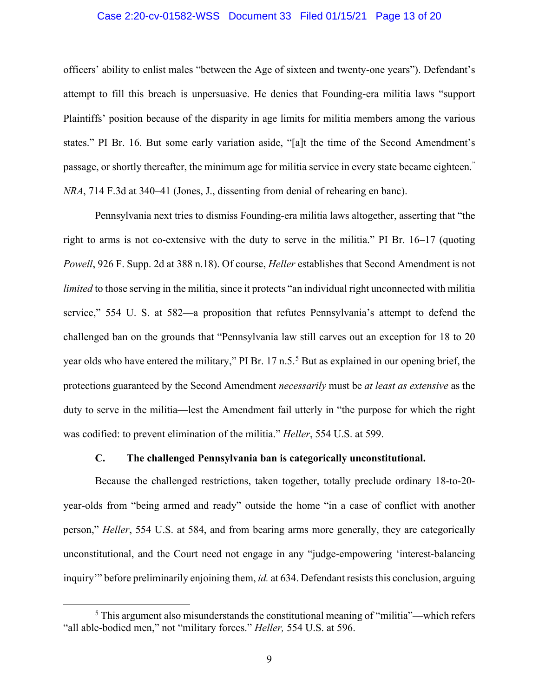#### Case 2:20-cv-01582-WSS Document 33 Filed 01/15/21 Page 13 of 20

officers' ability to enlist males "between the Age of sixteen and twenty-one years"). Defendant's attempt to fill this breach is unpersuasive. He denies that Founding-era militia laws "support Plaintiffs' position because of the disparity in age limits for militia members among the various states." PI Br. 16. But some early variation aside, "[a]t the time of the Second Amendment's passage, or shortly thereafter, the minimum age for militia service in every state became eighteen." *NRA*, 714 F.3d at 340–41 (Jones, J., dissenting from denial of rehearing en banc).

Pennsylvania next tries to dismiss Founding-era militia laws altogether, asserting that "the right to arms is not co-extensive with the duty to serve in the militia." PI Br. 16–17 (quoting *Powell*, 926 F. Supp. 2d at 388 n.18). Of course, *Heller* establishes that Second Amendment is not *limited* to those serving in the militia, since it protects "an individual right unconnected with militia service," 554 U. S. at 582—a proposition that refutes Pennsylvania's attempt to defend the challenged ban on the grounds that "Pennsylvania law still carves out an exception for 18 to 20 year olds who have entered the military," PI Br. 17 n.5.<sup>5</sup> But as explained in our opening brief, the protections guaranteed by the Second Amendment *necessarily* must be *at least as extensive* as the duty to serve in the militia—lest the Amendment fail utterly in "the purpose for which the right was codified: to prevent elimination of the militia." *Heller*, 554 U.S. at 599.

#### **C. The challenged Pennsylvania ban is categorically unconstitutional.**

Because the challenged restrictions, taken together, totally preclude ordinary 18-to-20 year-olds from "being armed and ready" outside the home "in a case of conflict with another person," *Heller*, 554 U.S. at 584, and from bearing arms more generally, they are categorically unconstitutional, and the Court need not engage in any "judge-empowering 'interest-balancing inquiry'" before preliminarily enjoining them, *id.* at 634. Defendant resists this conclusion, arguing

 $<sup>5</sup>$  This argument also misunderstands the constitutional meaning of "militia"—which refers</sup> "all able-bodied men," not "military forces." *Heller,* 554 U.S. at 596.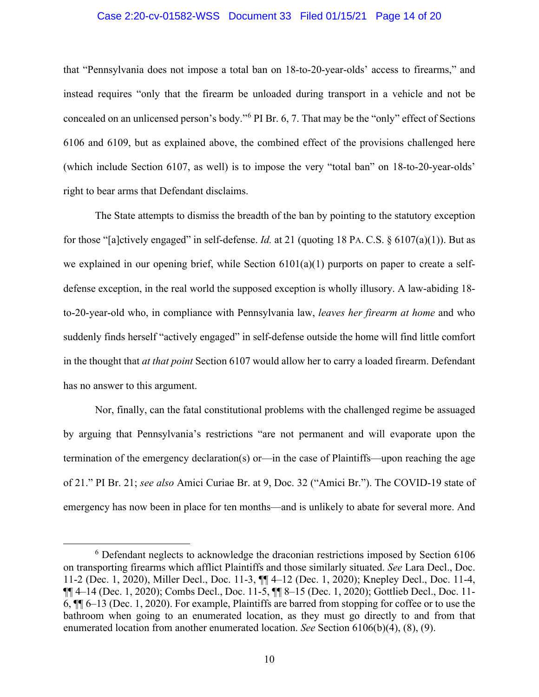#### Case 2:20-cv-01582-WSS Document 33 Filed 01/15/21 Page 14 of 20

that "Pennsylvania does not impose a total ban on 18-to-20-year-olds' access to firearms," and instead requires "only that the firearm be unloaded during transport in a vehicle and not be concealed on an unlicensed person's body."<sup>6</sup> PI Br. 6, 7. That may be the "only" effect of Sections 6106 and 6109, but as explained above, the combined effect of the provisions challenged here (which include Section 6107, as well) is to impose the very "total ban" on 18-to-20-year-olds' right to bear arms that Defendant disclaims.

The State attempts to dismiss the breadth of the ban by pointing to the statutory exception for those "[a]ctively engaged" in self-defense. *Id.* at 21 (quoting 18 PA. C.S. § 6107(a)(1)). But as we explained in our opening brief, while Section 6101(a)(1) purports on paper to create a selfdefense exception, in the real world the supposed exception is wholly illusory. A law-abiding 18 to-20-year-old who, in compliance with Pennsylvania law, *leaves her firearm at home* and who suddenly finds herself "actively engaged" in self-defense outside the home will find little comfort in the thought that *at that point* Section 6107 would allow her to carry a loaded firearm. Defendant has no answer to this argument.

Nor, finally, can the fatal constitutional problems with the challenged regime be assuaged by arguing that Pennsylvania's restrictions "are not permanent and will evaporate upon the termination of the emergency declaration(s) or—in the case of Plaintiffs—upon reaching the age of 21." PI Br. 21; *see also* Amici Curiae Br. at 9, Doc. 32 ("Amici Br."). The COVID-19 state of emergency has now been in place for ten months—and is unlikely to abate for several more. And

<sup>&</sup>lt;sup>6</sup> Defendant neglects to acknowledge the draconian restrictions imposed by Section 6106 on transporting firearms which afflict Plaintiffs and those similarly situated. *See* Lara Decl., Doc. 11-2 (Dec. 1, 2020), Miller Decl., Doc. 11-3, ¶¶ 4–12 (Dec. 1, 2020); Knepley Decl., Doc. 11-4, ¶¶ 4–14 (Dec. 1, 2020); Combs Decl., Doc. 11-5, ¶¶ 8–15 (Dec. 1, 2020); Gottlieb Decl., Doc. 11- 6, ¶¶ 6–13 (Dec. 1, 2020). For example, Plaintiffs are barred from stopping for coffee or to use the bathroom when going to an enumerated location, as they must go directly to and from that enumerated location from another enumerated location. *See* Section 6106(b)(4), (8), (9).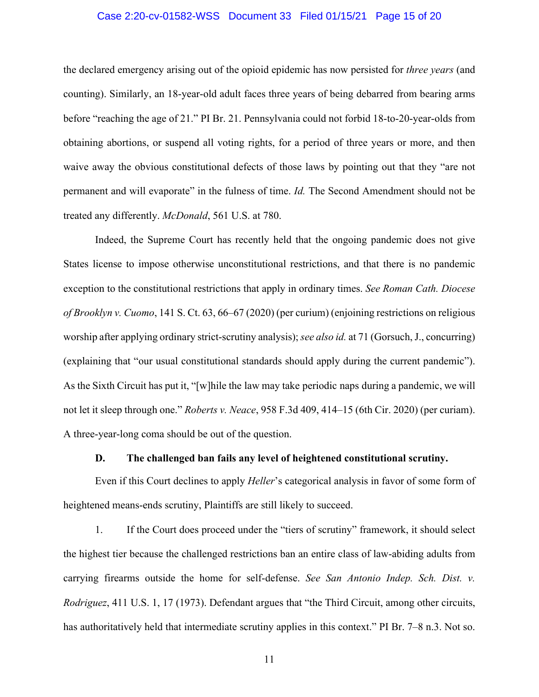#### Case 2:20-cv-01582-WSS Document 33 Filed 01/15/21 Page 15 of 20

the declared emergency arising out of the opioid epidemic has now persisted for *three years* (and counting). Similarly, an 18-year-old adult faces three years of being debarred from bearing arms before "reaching the age of 21." PI Br. 21. Pennsylvania could not forbid 18-to-20-year-olds from obtaining abortions, or suspend all voting rights, for a period of three years or more, and then waive away the obvious constitutional defects of those laws by pointing out that they "are not permanent and will evaporate" in the fulness of time. *Id.* The Second Amendment should not be treated any differently. *McDonald*, 561 U.S. at 780.

Indeed, the Supreme Court has recently held that the ongoing pandemic does not give States license to impose otherwise unconstitutional restrictions, and that there is no pandemic exception to the constitutional restrictions that apply in ordinary times. *See Roman Cath. Diocese of Brooklyn v. Cuomo*, 141 S. Ct. 63, 66–67 (2020) (per curium) (enjoining restrictions on religious worship after applying ordinary strict-scrutiny analysis); *see also id.* at 71 (Gorsuch, J., concurring) (explaining that "our usual constitutional standards should apply during the current pandemic"). As the Sixth Circuit has put it, "[w]hile the law may take periodic naps during a pandemic, we will not let it sleep through one." *Roberts v. Neace*, 958 F.3d 409, 414–15 (6th Cir. 2020) (per curiam). A three-year-long coma should be out of the question.

#### **D. The challenged ban fails any level of heightened constitutional scrutiny.**

Even if this Court declines to apply *Heller*'s categorical analysis in favor of some form of heightened means-ends scrutiny, Plaintiffs are still likely to succeed.

1. If the Court does proceed under the "tiers of scrutiny" framework, it should select the highest tier because the challenged restrictions ban an entire class of law-abiding adults from carrying firearms outside the home for self-defense. *See San Antonio Indep. Sch. Dist. v. Rodriguez*, 411 U.S. 1, 17 (1973). Defendant argues that "the Third Circuit, among other circuits, has authoritatively held that intermediate scrutiny applies in this context." PI Br. 7–8 n.3. Not so.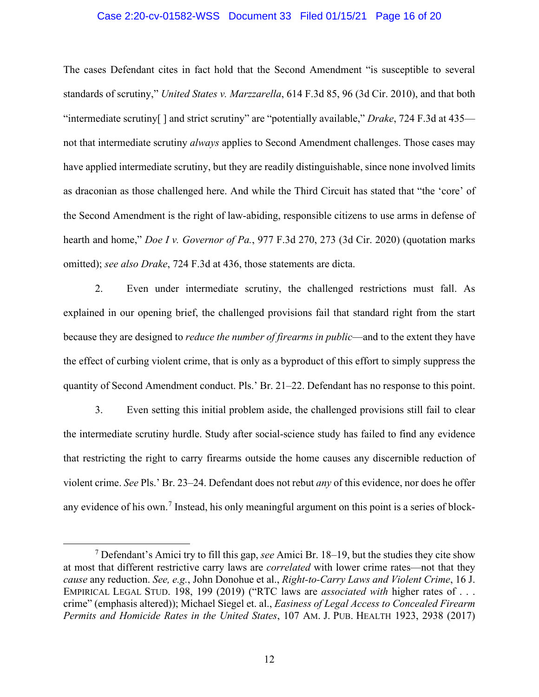#### Case 2:20-cv-01582-WSS Document 33 Filed 01/15/21 Page 16 of 20

The cases Defendant cites in fact hold that the Second Amendment "is susceptible to several standards of scrutiny," *United States v. Marzzarella*, 614 F.3d 85, 96 (3d Cir. 2010), and that both "intermediate scrutiny[ ] and strict scrutiny" are "potentially available," *Drake*, 724 F.3d at 435 not that intermediate scrutiny *always* applies to Second Amendment challenges. Those cases may have applied intermediate scrutiny, but they are readily distinguishable, since none involved limits as draconian as those challenged here. And while the Third Circuit has stated that "the 'core' of the Second Amendment is the right of law-abiding, responsible citizens to use arms in defense of hearth and home," *Doe I v. Governor of Pa.*, 977 F.3d 270, 273 (3d Cir. 2020) (quotation marks omitted); *see also Drake*, 724 F.3d at 436, those statements are dicta.

2. Even under intermediate scrutiny, the challenged restrictions must fall. As explained in our opening brief, the challenged provisions fail that standard right from the start because they are designed to *reduce the number of firearms in public*—and to the extent they have the effect of curbing violent crime, that is only as a byproduct of this effort to simply suppress the quantity of Second Amendment conduct. Pls.' Br. 21–22. Defendant has no response to this point.

3. Even setting this initial problem aside, the challenged provisions still fail to clear the intermediate scrutiny hurdle. Study after social-science study has failed to find any evidence that restricting the right to carry firearms outside the home causes any discernible reduction of violent crime. *See* Pls.' Br. 23–24. Defendant does not rebut *any* of this evidence, nor does he offer any evidence of his own.<sup>7</sup> Instead, his only meaningful argument on this point is a series of block-

<sup>7</sup> Defendant's Amici try to fill this gap, *see* Amici Br. 18–19, but the studies they cite show at most that different restrictive carry laws are *correlated* with lower crime rates—not that they *cause* any reduction. *See, e.g.*, John Donohue et al., *Right-to-Carry Laws and Violent Crime*, 16 J. EMPIRICAL LEGAL STUD. 198, 199 (2019) ("RTC laws are *associated with* higher rates of . . . crime" (emphasis altered)); Michael Siegel et. al., *Easiness of Legal Access to Concealed Firearm Permits and Homicide Rates in the United States*, 107 AM. J. PUB. HEALTH 1923, 2938 (2017)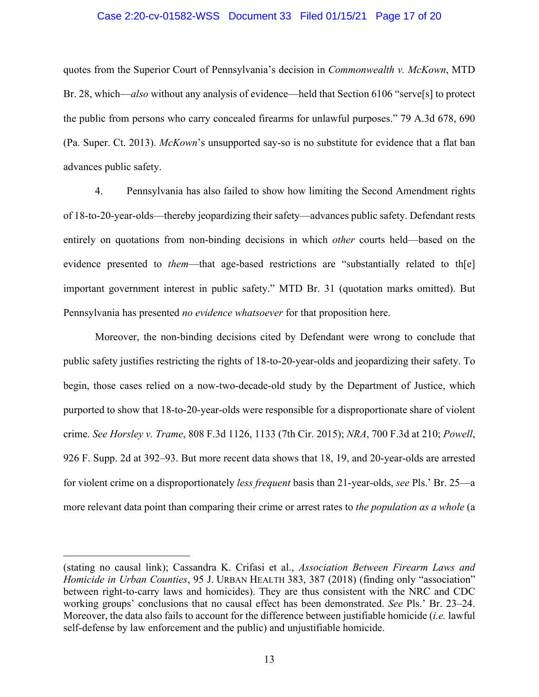#### Case 2:20-cv-01582-WSS Document 33 Filed 01/15/21 Page 17 of 20

quotes from the Superior Court of Pennsylvania's decision in *Commonwealth v. McKown*, MTD Br. 28, which—*also* without any analysis of evidence—held that Section 6106 "serve[s] to protect the public from persons who carry concealed firearms for unlawful purposes." 79 A.3d 678, 690 (Pa. Super. Ct. 2013). *McKown*'s unsupported say-so is no substitute for evidence that a flat ban advances public safety.

4. Pennsylvania has also failed to show how limiting the Second Amendment rights of 18-to-20-year-olds—thereby jeopardizing their safety—advances public safety. Defendant rests entirely on quotations from non-binding decisions in which *other* courts held—based on the evidence presented to *them*—that age-based restrictions are "substantially related to th[e] important government interest in public safety." MTD Br. 31 (quotation marks omitted). But Pennsylvania has presented *no evidence whatsoever* for that proposition here.

Moreover, the non-binding decisions cited by Defendant were wrong to conclude that public safety justifies restricting the rights of 18-to-20-year-olds and jeopardizing their safety. To begin, those cases relied on a now-two-decade-old study by the Department of Justice, which purported to show that 18-to-20-year-olds were responsible for a disproportionate share of violent crime. *See Horsley v. Trame*, 808 F.3d 1126, 1133 (7th Cir. 2015); *NRA*, 700 F.3d at 210; *Powell*, 926 F. Supp. 2d at 392–93. But more recent data shows that 18, 19, and 20-year-olds are arrested for violent crime on a disproportionately *less frequent* basis than 21-year-olds, *see* Pls.' Br. 25—a more relevant data point than comparing their crime or arrest rates to *the population as a whole* (a

<sup>(</sup>stating no causal link); Cassandra K. Crifasi et al., *Association Between Firearm Laws and Homicide in Urban Counties*, 95 J. URBAN HEALTH 383, 387 (2018) (finding only "association" between right-to-carry laws and homicides). They are thus consistent with the NRC and CDC working groups' conclusions that no causal effect has been demonstrated. *See* Pls.' Br. 23–24. Moreover, the data also fails to account for the difference between justifiable homicide (*i.e.* lawful self-defense by law enforcement and the public) and unjustifiable homicide.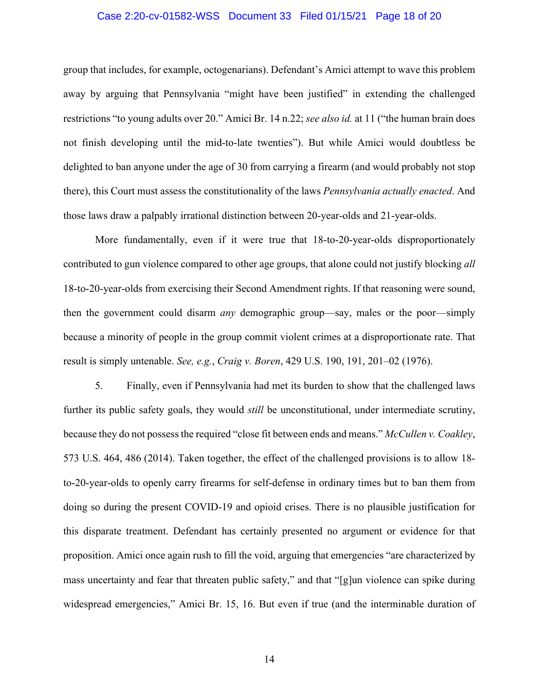#### Case 2:20-cv-01582-WSS Document 33 Filed 01/15/21 Page 18 of 20

group that includes, for example, octogenarians). Defendant's Amici attempt to wave this problem away by arguing that Pennsylvania "might have been justified" in extending the challenged restrictions "to young adults over 20." Amici Br. 14 n.22; *see also id.* at 11 ("the human brain does not finish developing until the mid-to-late twenties"). But while Amici would doubtless be delighted to ban anyone under the age of 30 from carrying a firearm (and would probably not stop there), this Court must assess the constitutionality of the laws *Pennsylvania actually enacted*. And those laws draw a palpably irrational distinction between 20-year-olds and 21-year-olds.

More fundamentally, even if it were true that 18-to-20-year-olds disproportionately contributed to gun violence compared to other age groups, that alone could not justify blocking *all* 18-to-20-year-olds from exercising their Second Amendment rights. If that reasoning were sound, then the government could disarm *any* demographic group—say, males or the poor—simply because a minority of people in the group commit violent crimes at a disproportionate rate. That result is simply untenable. *See, e.g.*, *Craig v. Boren*, 429 U.S. 190, 191, 201–02 (1976).

5. Finally, even if Pennsylvania had met its burden to show that the challenged laws further its public safety goals, they would *still* be unconstitutional, under intermediate scrutiny, because they do not possess the required "close fit between ends and means." *McCullen v. Coakley*, 573 U.S. 464, 486 (2014). Taken together, the effect of the challenged provisions is to allow 18 to-20-year-olds to openly carry firearms for self-defense in ordinary times but to ban them from doing so during the present COVID-19 and opioid crises. There is no plausible justification for this disparate treatment. Defendant has certainly presented no argument or evidence for that proposition. Amici once again rush to fill the void, arguing that emergencies "are characterized by mass uncertainty and fear that threaten public safety," and that "[g]un violence can spike during widespread emergencies," Amici Br. 15, 16. But even if true (and the interminable duration of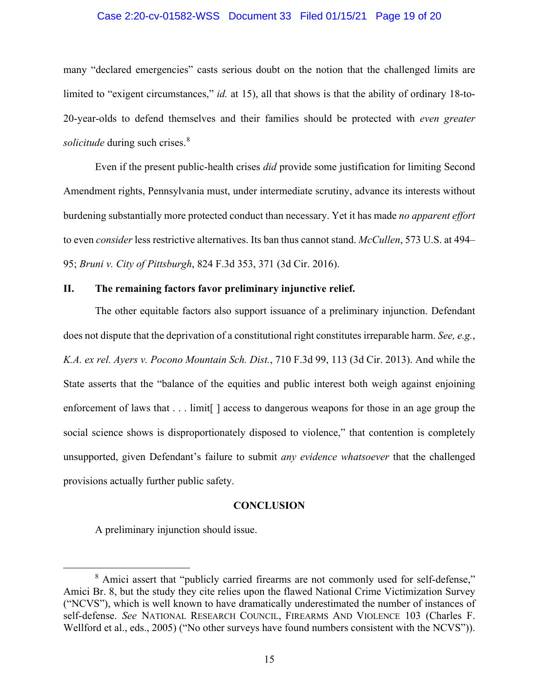#### Case 2:20-cv-01582-WSS Document 33 Filed 01/15/21 Page 19 of 20

many "declared emergencies" casts serious doubt on the notion that the challenged limits are limited to "exigent circumstances," *id.* at 15), all that shows is that the ability of ordinary 18-to-20-year-olds to defend themselves and their families should be protected with *even greater solicitude* during such crises.<sup>8</sup>

Even if the present public-health crises *did* provide some justification for limiting Second Amendment rights, Pennsylvania must, under intermediate scrutiny, advance its interests without burdening substantially more protected conduct than necessary. Yet it has made *no apparent effort*  to even *consider* less restrictive alternatives. Its ban thus cannot stand. *McCullen*, 573 U.S. at 494– 95; *Bruni v. City of Pittsburgh*, 824 F.3d 353, 371 (3d Cir. 2016).

#### **II. The remaining factors favor preliminary injunctive relief.**

The other equitable factors also support issuance of a preliminary injunction. Defendant does not dispute that the deprivation of a constitutional right constitutes irreparable harm. *See, e.g.*, *K.A. ex rel. Ayers v. Pocono Mountain Sch. Dist.*, 710 F.3d 99, 113 (3d Cir. 2013). And while the State asserts that the "balance of the equities and public interest both weigh against enjoining enforcement of laws that . . . limit laccess to dangerous weapons for those in an age group the social science shows is disproportionately disposed to violence," that contention is completely unsupported, given Defendant's failure to submit *any evidence whatsoever* that the challenged provisions actually further public safety.

#### **CONCLUSION**

A preliminary injunction should issue.

<sup>&</sup>lt;sup>8</sup> Amici assert that "publicly carried firearms are not commonly used for self-defense," Amici Br. 8, but the study they cite relies upon the flawed National Crime Victimization Survey ("NCVS"), which is well known to have dramatically underestimated the number of instances of self-defense. *See* NATIONAL RESEARCH COUNCIL, FIREARMS AND VIOLENCE 103 (Charles F. Wellford et al., eds., 2005) ("No other surveys have found numbers consistent with the NCVS")).